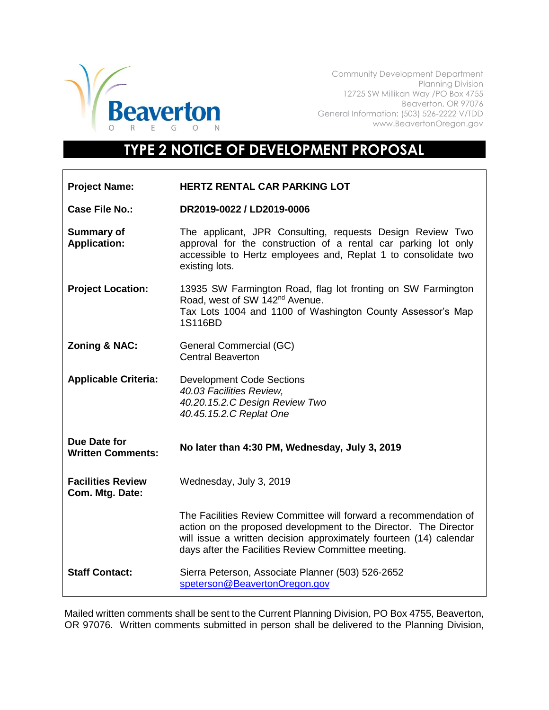

Community Development Department Planning Division 12725 SW Millikan Way /PO Box 4755 Beaverton, OR 97076 General Information: (503) 526-2222 V/TDD www.BeavertonOregon.gov

## **TYPE 2 NOTICE OF DEVELOPMENT PROPOSAL**

| <b>Project Name:</b>                        | HERTZ RENTAL CAR PARKING LOT                                                                                                                                                                                                                                      |
|---------------------------------------------|-------------------------------------------------------------------------------------------------------------------------------------------------------------------------------------------------------------------------------------------------------------------|
| <b>Case File No.:</b>                       | DR2019-0022 / LD2019-0006                                                                                                                                                                                                                                         |
| <b>Summary of</b><br><b>Application:</b>    | The applicant, JPR Consulting, requests Design Review Two<br>approval for the construction of a rental car parking lot only<br>accessible to Hertz employees and, Replat 1 to consolidate two<br>existing lots.                                                   |
| <b>Project Location:</b>                    | 13935 SW Farmington Road, flag lot fronting on SW Farmington<br>Road, west of SW 142 <sup>nd</sup> Avenue.<br>Tax Lots 1004 and 1100 of Washington County Assessor's Map<br>1S116BD                                                                               |
| <b>Zoning &amp; NAC:</b>                    | General Commercial (GC)<br><b>Central Beaverton</b>                                                                                                                                                                                                               |
| <b>Applicable Criteria:</b>                 | <b>Development Code Sections</b><br>40.03 Facilities Review.<br>40.20.15.2.C Design Review Two<br>40.45.15.2.C Replat One                                                                                                                                         |
| Due Date for<br><b>Written Comments:</b>    | No later than 4:30 PM, Wednesday, July 3, 2019                                                                                                                                                                                                                    |
| <b>Facilities Review</b><br>Com. Mtg. Date: | Wednesday, July 3, 2019                                                                                                                                                                                                                                           |
|                                             | The Facilities Review Committee will forward a recommendation of<br>action on the proposed development to the Director. The Director<br>will issue a written decision approximately fourteen (14) calendar<br>days after the Facilities Review Committee meeting. |
| <b>Staff Contact:</b>                       | Sierra Peterson, Associate Planner (503) 526-2652<br>speterson@BeavertonOregon.gov                                                                                                                                                                                |

Mailed written comments shall be sent to the Current Planning Division, PO Box 4755, Beaverton, OR 97076. Written comments submitted in person shall be delivered to the Planning Division,